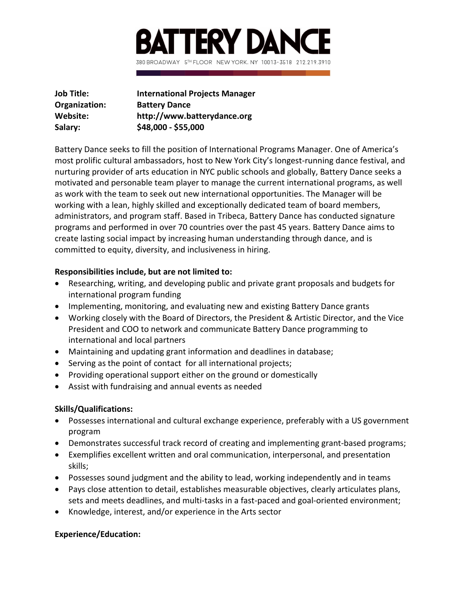

| Job Title:    | <b>International Projects Manager</b> |
|---------------|---------------------------------------|
| Organization: | <b>Battery Dance</b>                  |
| Website:      | http://www.batterydance.org           |
| Salary:       | \$48,000 - \$55,000                   |

Battery Dance seeks to fill the position of International Programs Manager. One of America's most prolific cultural ambassadors, host to New York City's longest-running dance festival, and nurturing provider of arts education in NYC public schools and globally, Battery Dance seeks a motivated and personable team player to manage the current international programs, as well as work with the team to seek out new international opportunities. The Manager will be working with a lean, highly skilled and exceptionally dedicated team of board members, administrators, and program staff. Based in Tribeca, Battery Dance has conducted signature programs and performed in over 70 countries over the past 45 years. Battery Dance aims to create lasting social impact by increasing human understanding through dance, and is committed to equity, diversity, and inclusiveness in hiring.

## **Responsibilities include, but are not limited to:**

- Researching, writing, and developing public and private grant proposals and budgets for international program funding
- Implementing, monitoring, and evaluating new and existing Battery Dance grants
- Working closely with the Board of Directors, the President & Artistic Director, and the Vice President and COO to network and communicate Battery Dance programming to international and local partners
- Maintaining and updating grant information and deadlines in database;
- Serving as the point of contact for all international projects;
- Providing operational support either on the ground or domestically
- Assist with fundraising and annual events as needed

## **Skills/Qualifications:**

- Possesses international and cultural exchange experience, preferably with a US government program
- Demonstrates successful track record of creating and implementing grant-based programs;
- Exemplifies excellent written and oral communication, interpersonal, and presentation skills;
- Possesses sound judgment and the ability to lead, working independently and in teams
- Pays close attention to detail, establishes measurable objectives, clearly articulates plans, sets and meets deadlines, and multi-tasks in a fast-paced and goal-oriented environment;
- Knowledge, interest, and/or experience in the Arts sector

## **Experience/Education:**